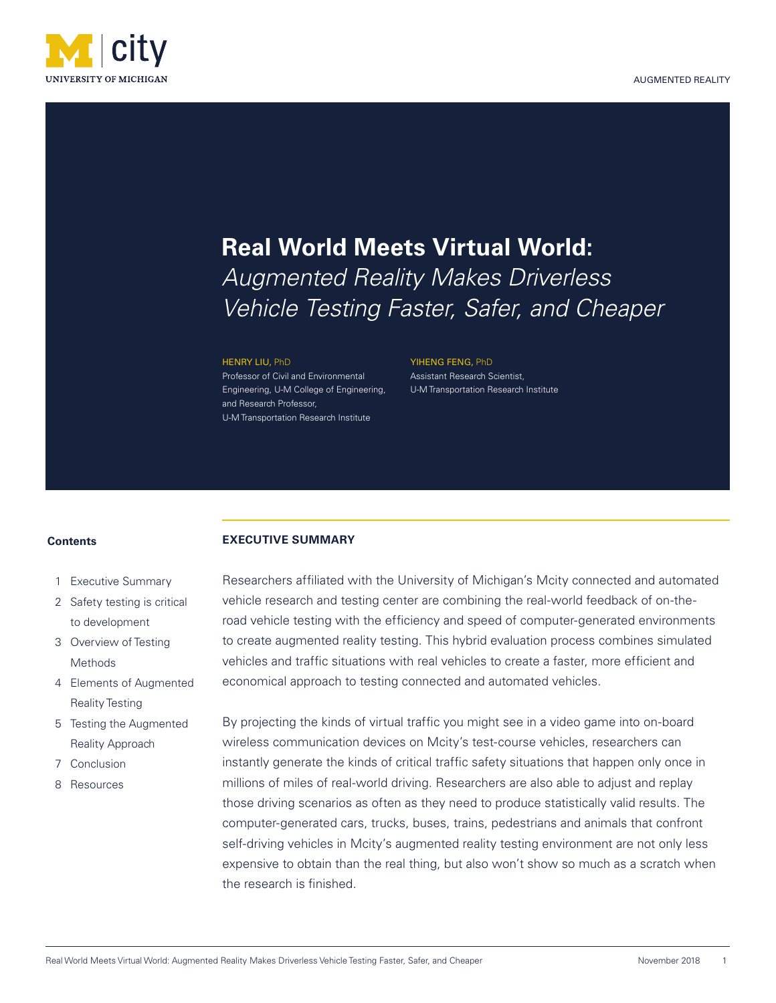

# **Real World Meets Virtual World:**

*Augmented Reality Makes Driverless Vehicle Testing Faster, Safer, and Cheaper*

#### HENRY LIU, PhD

Professor of Civil and Environmental Engineering, U-M College of Engineering, and Research Professor, U-M Transportation Research Institute

### YIHENG FENG, PhD Assistant Research Scientist, U-M Transportation Research Institute

### **Contents**

- 1 Executive Summary
- 2 Safety testing is critical to development
- 3 Overview of Testing Methods
- 4 Elements of Augmented Reality Testing
- 5 Testing the Augmented Reality Approach
- 7 Conclusion
- 8 Resources

## **EXECUTIVE SUMMARY**

Researchers affiliated with the University of Michigan's Mcity connected and automated vehicle research and testing center are combining the real-world feedback of on-theroad vehicle testing with the efficiency and speed of computer-generated environments to create augmented reality testing. This hybrid evaluation process combines simulated vehicles and traffic situations with real vehicles to create a faster, more efficient and economical approach to testing connected and automated vehicles.

By projecting the kinds of virtual traffic you might see in a video game into on-board wireless communication devices on Mcity's test-course vehicles, researchers can instantly generate the kinds of critical traffic safety situations that happen only once in millions of miles of real-world driving. Researchers are also able to adjust and replay those driving scenarios as often as they need to produce statistically valid results. The computer-generated cars, trucks, buses, trains, pedestrians and animals that confront self-driving vehicles in Mcity's augmented reality testing environment are not only less expensive to obtain than the real thing, but also won't show so much as a scratch when the research is finished.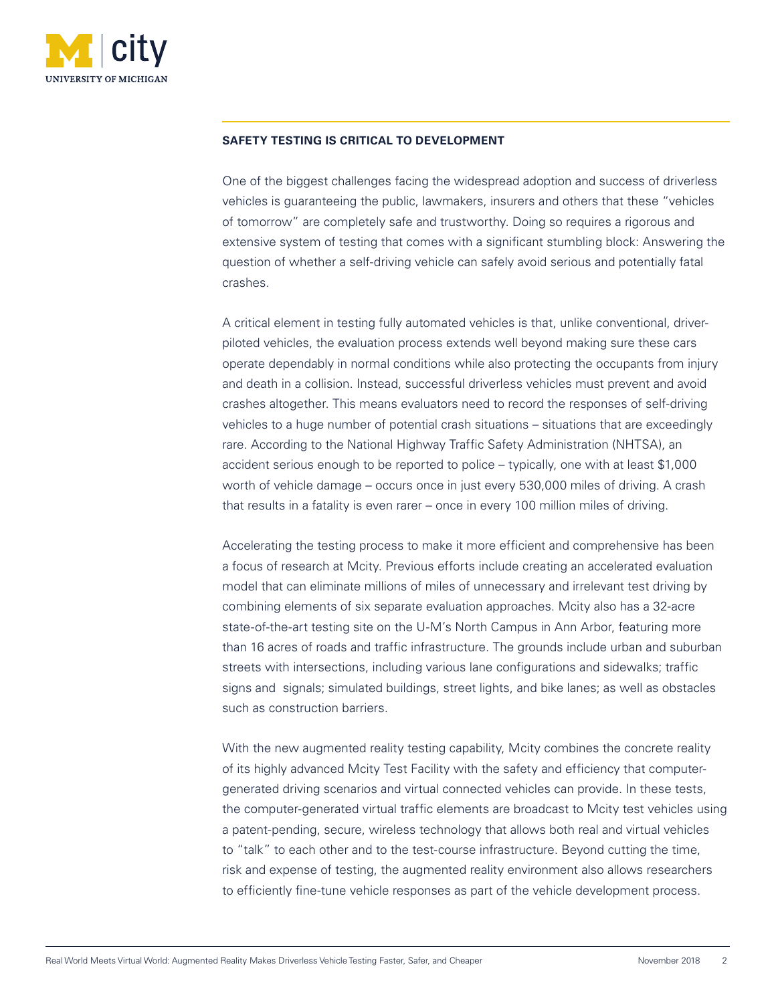

## **SAFETY TESTING IS CRITICAL TO DEVELOPMENT**

One of the biggest challenges facing the widespread adoption and success of driverless vehicles is guaranteeing the public, lawmakers, insurers and others that these "vehicles of tomorrow" are completely safe and trustworthy. Doing so requires a rigorous and extensive system of testing that comes with a significant stumbling block: Answering the question of whether a self-driving vehicle can safely avoid serious and potentially fatal crashes.

A critical element in testing fully automated vehicles is that, unlike conventional, driverpiloted vehicles, the evaluation process extends well beyond making sure these cars operate dependably in normal conditions while also protecting the occupants from injury and death in a collision. Instead, successful driverless vehicles must prevent and avoid crashes altogether. This means evaluators need to record the responses of self-driving vehicles to a huge number of potential crash situations – situations that are exceedingly rare. According to the National Highway Traffic Safety Administration (NHTSA), an accident serious enough to be reported to police – typically, one with at least \$1,000 worth of vehicle damage – occurs once in just every 530,000 miles of driving. A crash that results in a fatality is even rarer – once in every 100 million miles of driving.

Accelerating the testing process to make it more efficient and comprehensive has been a focus of research at Mcity. Previous efforts include creating an accelerated evaluation model that can eliminate millions of miles of unnecessary and irrelevant test driving by combining elements of six separate evaluation approaches. Mcity also has a 32-acre state-of-the-art testing site on the U-M's North Campus in Ann Arbor, featuring more than 16 acres of roads and traffic infrastructure. The grounds include urban and suburban streets with intersections, including various lane configurations and sidewalks; traffic signs and signals; simulated buildings, street lights, and bike lanes; as well as obstacles such as construction barriers.

With the new augmented reality testing capability, Mcity combines the concrete reality of its highly advanced Mcity Test Facility with the safety and efficiency that computergenerated driving scenarios and virtual connected vehicles can provide. In these tests, the computer-generated virtual traffic elements are broadcast to Mcity test vehicles using a patent-pending, secure, wireless technology that allows both real and virtual vehicles to "talk" to each other and to the test-course infrastructure. Beyond cutting the time, risk and expense of testing, the augmented reality environment also allows researchers to efficiently fine-tune vehicle responses as part of the vehicle development process.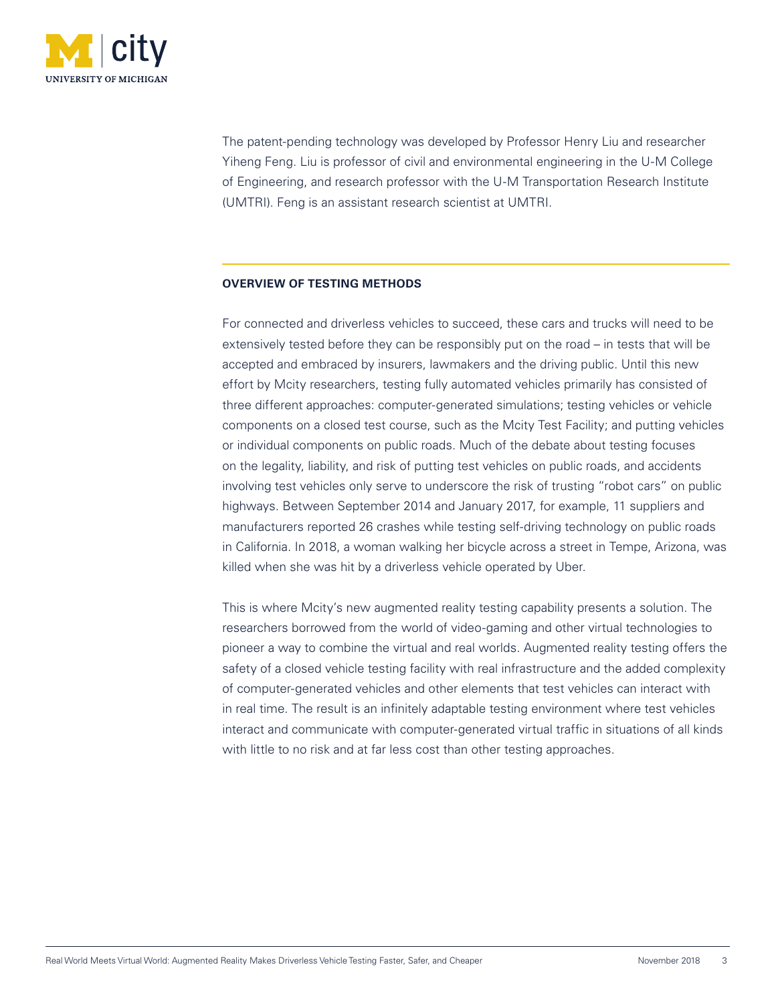

The patent-pending technology was developed by Professor Henry Liu and researcher Yiheng Feng. Liu is professor of civil and environmental engineering in the U-M College of Engineering, and research professor with the U-M Transportation Research Institute (UMTRI). Feng is an assistant research scientist at UMTRI.

### **OVERVIEW OF TESTING METHODS**

For connected and driverless vehicles to succeed, these cars and trucks will need to be extensively tested before they can be responsibly put on the road – in tests that will be accepted and embraced by insurers, lawmakers and the driving public. Until this new effort by Mcity researchers, testing fully automated vehicles primarily has consisted of three different approaches: computer-generated simulations; testing vehicles or vehicle components on a closed test course, such as the Mcity Test Facility; and putting vehicles or individual components on public roads. Much of the debate about testing focuses on the legality, liability, and risk of putting test vehicles on public roads, and accidents involving test vehicles only serve to underscore the risk of trusting "robot cars" on public highways. Between September 2014 and January 2017, for example, 11 suppliers and manufacturers reported 26 crashes while testing self-driving technology on public roads in California. In 2018, a woman walking her bicycle across a street in Tempe, Arizona, was killed when she was hit by a driverless vehicle operated by Uber.

This is where Mcity's new augmented reality testing capability presents a solution. The researchers borrowed from the world of video-gaming and other virtual technologies to pioneer a way to combine the virtual and real worlds. Augmented reality testing offers the safety of a closed vehicle testing facility with real infrastructure and the added complexity of computer-generated vehicles and other elements that test vehicles can interact with in real time. The result is an infinitely adaptable testing environment where test vehicles interact and communicate with computer-generated virtual traffic in situations of all kinds with little to no risk and at far less cost than other testing approaches.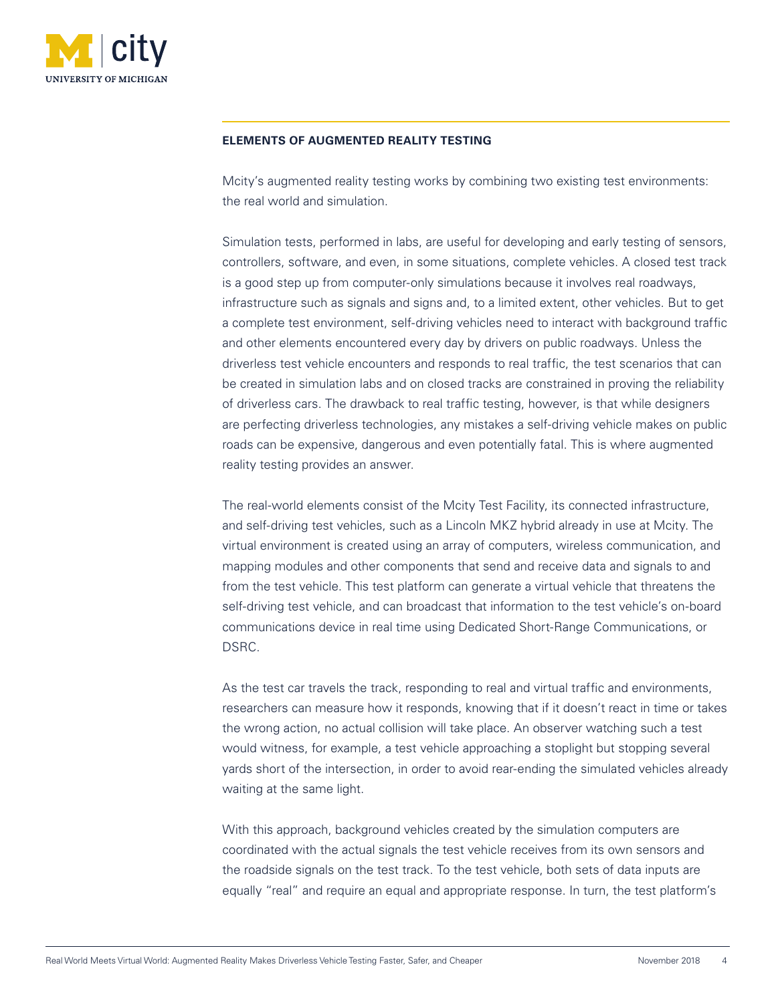

## **ELEMENTS OF AUGMENTED REALITY TESTING**

Mcity's augmented reality testing works by combining two existing test environments: the real world and simulation.

Simulation tests, performed in labs, are useful for developing and early testing of sensors, controllers, software, and even, in some situations, complete vehicles. A closed test track is a good step up from computer-only simulations because it involves real roadways, infrastructure such as signals and signs and, to a limited extent, other vehicles. But to get a complete test environment, self-driving vehicles need to interact with background traffic and other elements encountered every day by drivers on public roadways. Unless the driverless test vehicle encounters and responds to real traffic, the test scenarios that can be created in simulation labs and on closed tracks are constrained in proving the reliability of driverless cars. The drawback to real traffic testing, however, is that while designers are perfecting driverless technologies, any mistakes a self-driving vehicle makes on public roads can be expensive, dangerous and even potentially fatal. This is where augmented reality testing provides an answer.

The real-world elements consist of the Mcity Test Facility, its connected infrastructure, and self-driving test vehicles, such as a Lincoln MKZ hybrid already in use at Mcity. The virtual environment is created using an array of computers, wireless communication, and mapping modules and other components that send and receive data and signals to and from the test vehicle. This test platform can generate a virtual vehicle that threatens the self-driving test vehicle, and can broadcast that information to the test vehicle's on-board communications device in real time using Dedicated Short-Range Communications, or DSRC.

As the test car travels the track, responding to real and virtual traffic and environments, researchers can measure how it responds, knowing that if it doesn't react in time or takes the wrong action, no actual collision will take place. An observer watching such a test would witness, for example, a test vehicle approaching a stoplight but stopping several yards short of the intersection, in order to avoid rear-ending the simulated vehicles already waiting at the same light.

With this approach, background vehicles created by the simulation computers are coordinated with the actual signals the test vehicle receives from its own sensors and the roadside signals on the test track. To the test vehicle, both sets of data inputs are equally "real" and require an equal and appropriate response. In turn, the test platform's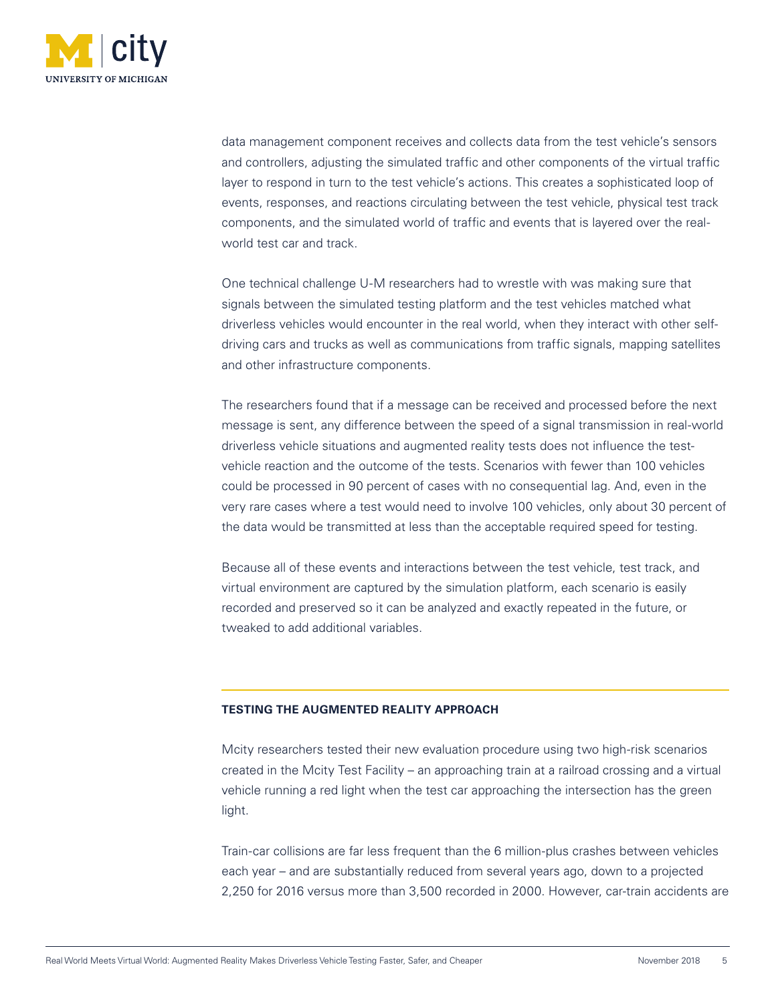

data management component receives and collects data from the test vehicle's sensors and controllers, adjusting the simulated traffic and other components of the virtual traffic layer to respond in turn to the test vehicle's actions. This creates a sophisticated loop of events, responses, and reactions circulating between the test vehicle, physical test track components, and the simulated world of traffic and events that is layered over the realworld test car and track.

One technical challenge U-M researchers had to wrestle with was making sure that signals between the simulated testing platform and the test vehicles matched what driverless vehicles would encounter in the real world, when they interact with other selfdriving cars and trucks as well as communications from traffic signals, mapping satellites and other infrastructure components.

The researchers found that if a message can be received and processed before the next message is sent, any difference between the speed of a signal transmission in real-world driverless vehicle situations and augmented reality tests does not influence the testvehicle reaction and the outcome of the tests. Scenarios with fewer than 100 vehicles could be processed in 90 percent of cases with no consequential lag. And, even in the very rare cases where a test would need to involve 100 vehicles, only about 30 percent of the data would be transmitted at less than the acceptable required speed for testing.

Because all of these events and interactions between the test vehicle, test track, and virtual environment are captured by the simulation platform, each scenario is easily recorded and preserved so it can be analyzed and exactly repeated in the future, or tweaked to add additional variables.

## **TESTING THE AUGMENTED REALITY APPROACH**

Mcity researchers tested their new evaluation procedure using two high-risk scenarios created in the Mcity Test Facility – an approaching train at a railroad crossing and a virtual vehicle running a red light when the test car approaching the intersection has the green light.

Train-car collisions are far less frequent than the 6 million-plus crashes between vehicles each year – and are substantially reduced from several years ago, down to a projected 2,250 for 2016 versus more than 3,500 recorded in 2000. However, car-train accidents are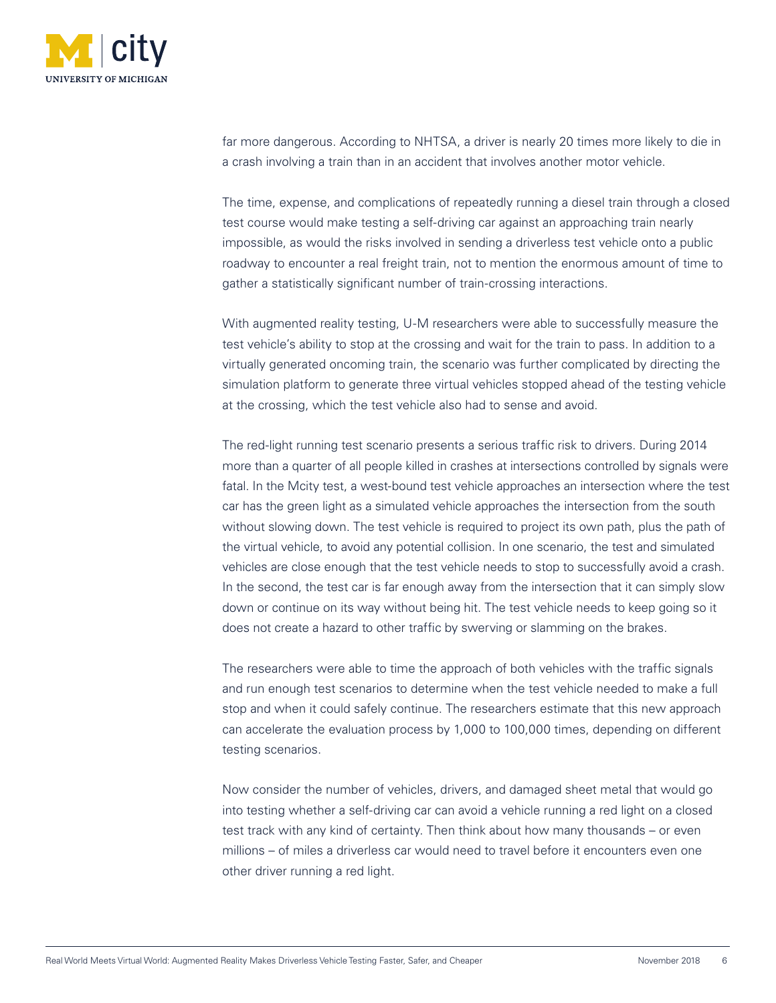

far more dangerous. According to NHTSA, a driver is nearly 20 times more likely to die in a crash involving a train than in an accident that involves another motor vehicle.

The time, expense, and complications of repeatedly running a diesel train through a closed test course would make testing a self-driving car against an approaching train nearly impossible, as would the risks involved in sending a driverless test vehicle onto a public roadway to encounter a real freight train, not to mention the enormous amount of time to gather a statistically significant number of train-crossing interactions.

With augmented reality testing, U-M researchers were able to successfully measure the test vehicle's ability to stop at the crossing and wait for the train to pass. In addition to a virtually generated oncoming train, the scenario was further complicated by directing the simulation platform to generate three virtual vehicles stopped ahead of the testing vehicle at the crossing, which the test vehicle also had to sense and avoid.

The red-light running test scenario presents a serious traffic risk to drivers. During 2014 more than a quarter of all people killed in crashes at intersections controlled by signals were fatal. In the Mcity test, a west-bound test vehicle approaches an intersection where the test car has the green light as a simulated vehicle approaches the intersection from the south without slowing down. The test vehicle is required to project its own path, plus the path of the virtual vehicle, to avoid any potential collision. In one scenario, the test and simulated vehicles are close enough that the test vehicle needs to stop to successfully avoid a crash. In the second, the test car is far enough away from the intersection that it can simply slow down or continue on its way without being hit. The test vehicle needs to keep going so it does not create a hazard to other traffic by swerving or slamming on the brakes.

The researchers were able to time the approach of both vehicles with the traffic signals and run enough test scenarios to determine when the test vehicle needed to make a full stop and when it could safely continue. The researchers estimate that this new approach can accelerate the evaluation process by 1,000 to 100,000 times, depending on different testing scenarios.

Now consider the number of vehicles, drivers, and damaged sheet metal that would go into testing whether a self-driving car can avoid a vehicle running a red light on a closed test track with any kind of certainty. Then think about how many thousands – or even millions – of miles a driverless car would need to travel before it encounters even one other driver running a red light.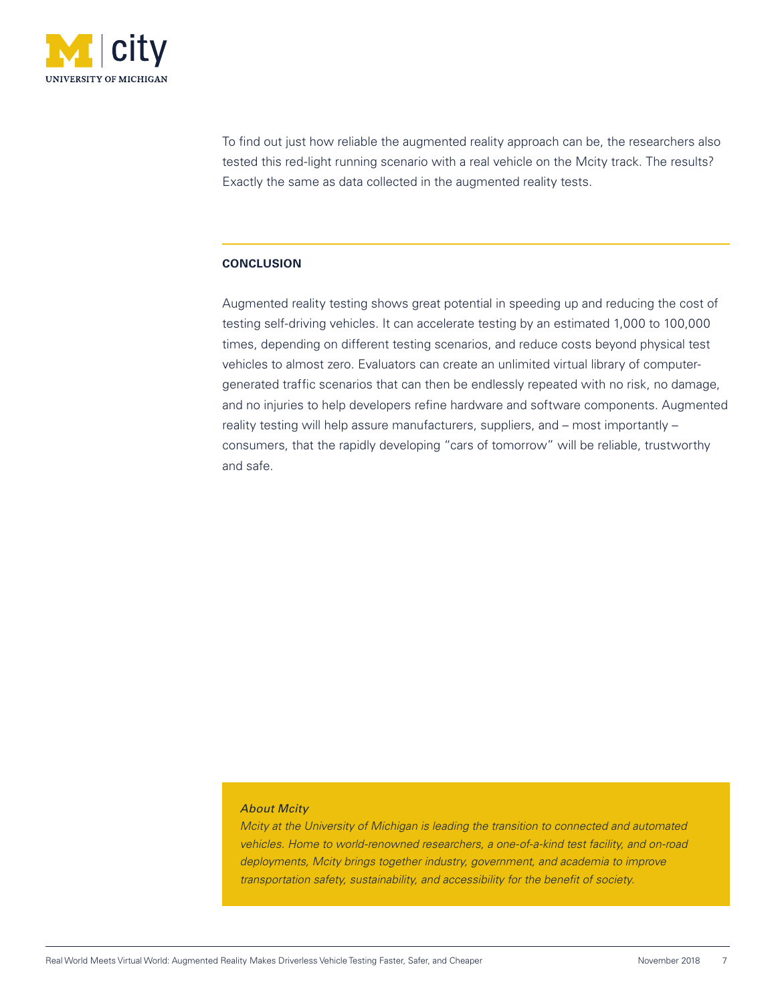

To find out just how reliable the augmented reality approach can be, the researchers also tested this red-light running scenario with a real vehicle on the Mcity track. The results? Exactly the same as data collected in the augmented reality tests.

## **CONCLUSION**

Augmented reality testing shows great potential in speeding up and reducing the cost of testing self-driving vehicles. It can accelerate testing by an estimated 1,000 to 100,000 times, depending on different testing scenarios, and reduce costs beyond physical test vehicles to almost zero. Evaluators can create an unlimited virtual library of computergenerated traffic scenarios that can then be endlessly repeated with no risk, no damage, and no injuries to help developers refine hardware and software components. Augmented reality testing will help assure manufacturers, suppliers, and – most importantly – consumers, that the rapidly developing "cars of tomorrow" will be reliable, trustworthy and safe.

## *About Mcity*

*Mcity at the University of Michigan is leading the transition to connected and automated vehicles. Home to world-renowned researchers, a one-of-a-kind test facility, and on-road deployments, Mcity brings together industry, government, and academia to improve transportation safety, sustainability, and accessibility for the benefit of society.*